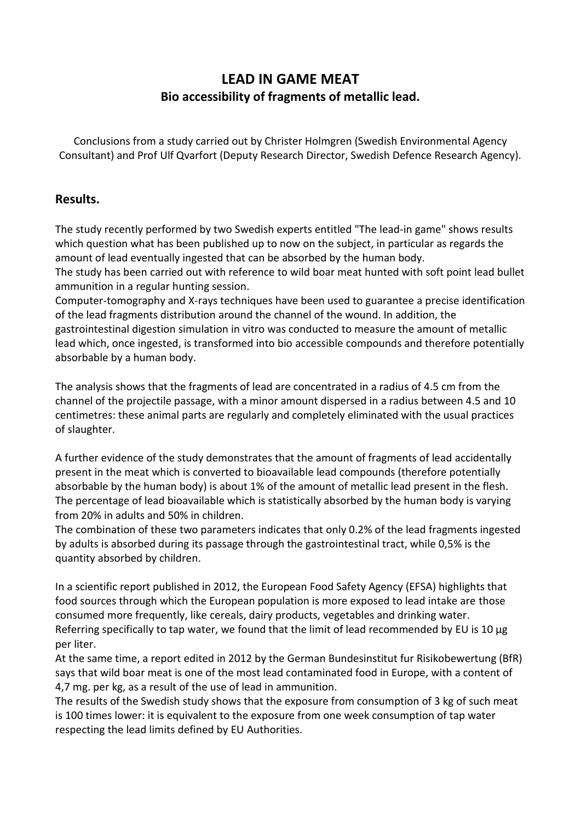## **LEAD IN GAME MEAT Bio accessibility of fragments of metallic lead.**

Conclusions from a study carried out by Christer Holmgren (Swedish Environmental Agency Consultant) and Prof Ulf Qvarfort (Deputy Research Director, Swedish Defence Research Agency).

## **Results.**

The study recently performed by two Swedish experts entitled "The lead-in game" shows results which question what has been published up to now on the subject, in particular as regards the amount of lead eventually ingested that can be absorbed by the human body.

The study has been carried out with reference to wild boar meat hunted with soft point lead bullet ammunition in a regular hunting session.

Computer-tomography and X-rays techniques have been used to guarantee a precise identification of the lead fragments distribution around the channel of the wound. In addition, the gastrointestinal digestion simulation in vitro was conducted to measure the amount of metallic lead which, once ingested, is transformed into bio accessible compounds and therefore potentially absorbable by a human body.

The analysis shows that the fragments of lead are concentrated in a radius of 4.5 cm from the channel of the projectile passage, with a minor amount dispersed in a radius between 4.5 and 10 centimetres: these animal parts are regularly and completely eliminated with the usual practices of slaughter.

A further evidence of the study demonstrates that the amount of fragments of lead accidentally present in the meat which is converted to bioavailable lead compounds (therefore potentially absorbable by the human body) is about 1% of the amount of metallic lead present in the flesh. The percentage of lead bioavailable which is statistically absorbed by the human body is varying from 20% in adults and 50% in children.

The combination of these two parameters indicates that only 0.2% of the lead fragments ingested by adults is absorbed during its passage through the gastrointestinal tract, while 0,5% is the quantity absorbed by children.

In a scientific report published in 2012, the European Food Safety Agency (EFSA) highlights that food sources through which the European population is more exposed to lead intake are those consumed more frequently, like cereals, dairy products, vegetables and drinking water. Referring specifically to tap water, we found that the limit of lead recommended by EU is 10 μg per liter.

At the same time, a report edited in 2012 by the German Bundesinstitut fur Risikobewertung (BfR) says that wild boar meat is one of the most lead contaminated food in Europe, with a content of 4,7 mg. per kg, as a result of the use of lead in ammunition.

The results of the Swedish study shows that the exposure from consumption of 3 kg of such meat is 100 times lower: it is equivalent to the exposure from one week consumption of tap water respecting the lead limits defined by EU Authorities.